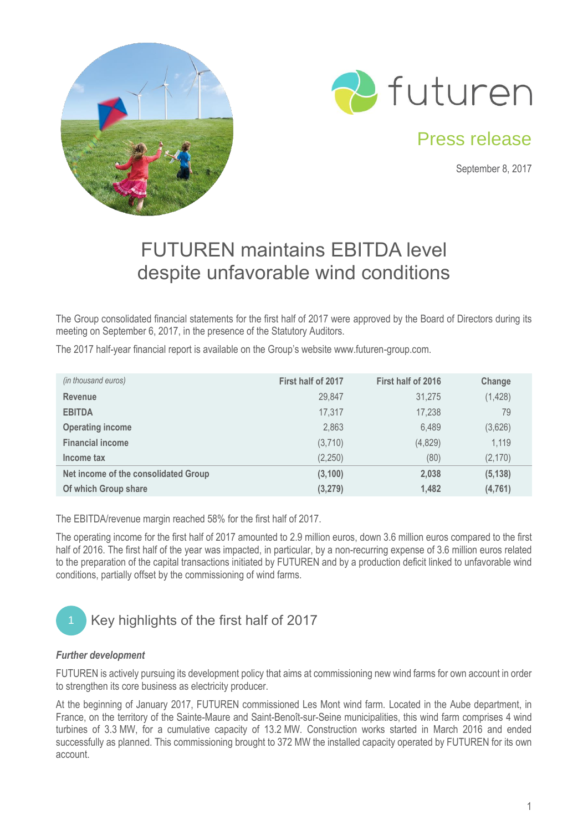



## Press release

September 8, 2017

# FUTUREN maintains EBITDA level despite unfavorable wind conditions

The Group consolidated financial statements for the first half of 2017 were approved by the Board of Directors during its meeting on September 6, 2017, in the presence of the Statutory Auditors.

The 2017 half-year financial report is available on the Group's website www.futuren-group.com.

| (in thousand euros)                  | First half of 2017 | First half of 2016 | Change   |  |
|--------------------------------------|--------------------|--------------------|----------|--|
| <b>Revenue</b>                       | 29.847             | 31,275             | (1, 428) |  |
| <b>EBITDA</b>                        | 17,317             | 17,238             | 79       |  |
| <b>Operating income</b>              | 2,863              | 6,489              | (3,626)  |  |
| <b>Financial income</b>              | (3,710)            | (4,829)            | 1,119    |  |
| Income tax                           | (2,250)            | (80)               | (2, 170) |  |
| Net income of the consolidated Group | (3, 100)           | 2,038              | (5, 138) |  |
| Of which Group share                 | (3,279)            | 1,482              | (4, 761) |  |

The EBITDA/revenue margin reached 58% for the first half of 2017.

The operating income for the first half of 2017 amounted to 2.9 million euros, down 3.6 million euros compared to the first half of 2016. The first half of the year was impacted, in particular, by a non-recurring expense of 3.6 million euros related to the preparation of the capital transactions initiated by FUTUREN and by a production deficit linked to unfavorable wind conditions, partially offset by the commissioning of wind farms.



#### *Further development*

FUTUREN is actively pursuing its development policy that aims at commissioning new wind farms for own account in order to strengthen its core business as electricity producer.

At the beginning of January 2017, FUTUREN commissioned Les Mont wind farm. Located in the Aube department, in France, on the territory of the Sainte-Maure and Saint-Benoît-sur-Seine municipalities, this wind farm comprises 4 wind turbines of 3.3 MW, for a cumulative capacity of 13.2 MW. Construction works started in March 2016 and ended successfully as planned. This commissioning brought to 372 MW the installed capacity operated by FUTUREN for its own account.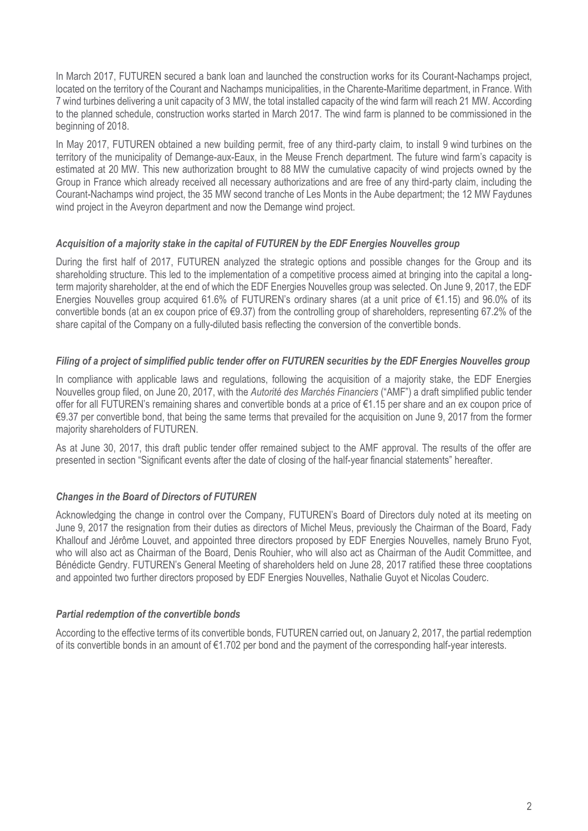In March 2017, FUTUREN secured a bank loan and launched the construction works for its Courant-Nachamps project, located on the territory of the Courant and Nachamps municipalities, in the Charente-Maritime department, in France. With 7 wind turbines delivering a unit capacity of 3 MW, the total installed capacity of the wind farm will reach 21 MW. According to the planned schedule, construction works started in March 2017. The wind farm is planned to be commissioned in the beginning of 2018.

In May 2017, FUTUREN obtained a new building permit, free of any third-party claim, to install 9 wind turbines on the territory of the municipality of Demange-aux-Eaux, in the Meuse French department. The future wind farm's capacity is estimated at 20 MW. This new authorization brought to 88 MW the cumulative capacity of wind projects owned by the Group in France which already received all necessary authorizations and are free of any third-party claim, including the Courant-Nachamps wind project, the 35 MW second tranche of Les Monts in the Aube department; the 12 MW Faydunes wind project in the Aveyron department and now the Demange wind project.

#### *Acquisition of a majority stake in the capital of FUTUREN by the EDF Energies Nouvelles group*

During the first half of 2017, FUTUREN analyzed the strategic options and possible changes for the Group and its shareholding structure. This led to the implementation of a competitive process aimed at bringing into the capital a longterm majority shareholder, at the end of which the EDF Energies Nouvelles group was selected. On June 9, 2017, the EDF Energies Nouvelles group acquired 61.6% of FUTUREN's ordinary shares (at a unit price of €1.15) and 96.0% of its convertible bonds (at an ex coupon price of €9.37) from the controlling group of shareholders, representing 67.2% of the share capital of the Company on a fully-diluted basis reflecting the conversion of the convertible bonds.

#### *Filing of a project of simplified public tender offer on FUTUREN securities by the EDF Energies Nouvelles group*

In compliance with applicable laws and regulations, following the acquisition of a majority stake, the EDF Energies Nouvelles group filed, on June 20, 2017, with the *Autorité des Marchés Financiers* ("AMF") a draft simplified public tender offer for all FUTUREN's remaining shares and convertible bonds at a price of €1.15 per share and an ex coupon price of €9.37 per convertible bond, that being the same terms that prevailed for the acquisition on June 9, 2017 from the former majority shareholders of FUTUREN.

As at June 30, 2017, this draft public tender offer remained subject to the AMF approval. The results of the offer are presented in section "Significant events after the date of closing of the half-year financial statements" hereafter.

#### *Changes in the Board of Directors of FUTUREN*

Acknowledging the change in control over the Company, FUTUREN's Board of Directors duly noted at its meeting on June 9, 2017 the resignation from their duties as directors of Michel Meus, previously the Chairman of the Board, Fady Khallouf and Jérôme Louvet, and appointed three directors proposed by EDF Energies Nouvelles, namely Bruno Fyot, who will also act as Chairman of the Board, Denis Rouhier, who will also act as Chairman of the Audit Committee, and Bénédicte Gendry. FUTUREN's General Meeting of shareholders held on June 28, 2017 ratified these three cooptations and appointed two further directors proposed by EDF Energies Nouvelles, Nathalie Guyot et Nicolas Couderc.

#### *Partial redemption of the convertible bonds*

According to the effective terms of its convertible bonds, FUTUREN carried out, on January 2, 2017, the partial redemption of its convertible bonds in an amount of  $\epsilon$ 1.702 per bond and the payment of the corresponding half-year interests.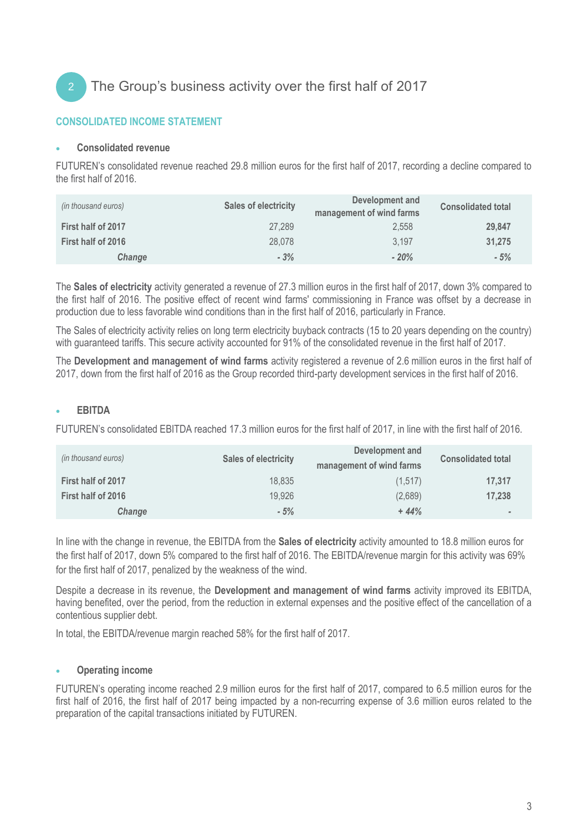

#### **CONSOLIDATED INCOME STATEMENT**

#### • **Consolidated revenue**

FUTUREN's consolidated revenue reached 29.8 million euros for the first half of 2017, recording a decline compared to the first half of 2016.

| (in thousand euros) | <b>Sales of electricity</b> | Development and<br>management of wind farms | <b>Consolidated total</b> |
|---------------------|-----------------------------|---------------------------------------------|---------------------------|
| First half of 2017  | 27,289                      | 2.558                                       | 29.847                    |
| First half of 2016  | 28,078                      | 3,197                                       | 31.275                    |
| <b>Change</b>       | $-3%$                       | $-20%$                                      | $-5%$                     |

The **Sales of electricity** activity generated a revenue of 27.3 million euros in the first half of 2017, down 3% compared to the first half of 2016. The positive effect of recent wind farms' commissioning in France was offset by a decrease in production due to less favorable wind conditions than in the first half of 2016, particularly in France.

The Sales of electricity activity relies on long term electricity buyback contracts (15 to 20 years depending on the country) with guaranteed tariffs. This secure activity accounted for 91% of the consolidated revenue in the first half of 2017.

The **Development and management of wind farms** activity registered a revenue of 2.6 million euros in the first half of 2017, down from the first half of 2016 as the Group recorded third-party development services in the first half of 2016.

#### • **EBITDA**

FUTUREN's consolidated EBITDA reached 17.3 million euros for the first half of 2017, in line with the first half of 2016.

| (in thousand euros) | <b>Sales of electricity</b> | Development and<br>management of wind farms | <b>Consolidated total</b> |
|---------------------|-----------------------------|---------------------------------------------|---------------------------|
| First half of 2017  | 18.835                      | (1,517)                                     | 17,317                    |
| First half of 2016  | 19,926                      | (2,689)                                     | 17.238                    |
| Change              | $-5%$                       | $+44%$                                      |                           |

In line with the change in revenue, the EBITDA from the **Sales of electricity** activity amounted to 18.8 million euros for the first half of 2017, down 5% compared to the first half of 2016. The EBITDA/revenue margin for this activity was 69% for the first half of 2017, penalized by the weakness of the wind.

Despite a decrease in its revenue, the **Development and management of wind farms** activity improved its EBITDA, having benefited, over the period, from the reduction in external expenses and the positive effect of the cancellation of a contentious supplier debt.

In total, the EBITDA/revenue margin reached 58% for the first half of 2017.

#### • **Operating income**

FUTUREN's operating income reached 2.9 million euros for the first half of 2017, compared to 6.5 million euros for the first half of 2016, the first half of 2017 being impacted by a non-recurring expense of 3.6 million euros related to the preparation of the capital transactions initiated by FUTUREN.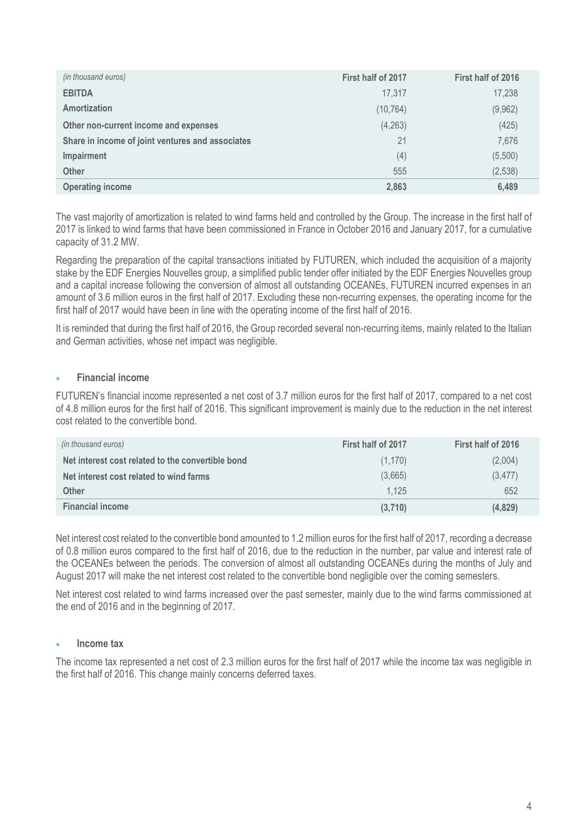| (in thousand euros)                              | First half of 2017 | First half of 2016 |
|--------------------------------------------------|--------------------|--------------------|
| <b>EBITDA</b>                                    | 17.317             | 17,238             |
| <b>Amortization</b>                              | (10, 764)          | (9,962)            |
| Other non-current income and expenses            | (4,263)            | (425)              |
| Share in income of joint ventures and associates | 21                 | 7,676              |
| Impairment                                       | (4)                | (5,500)            |
| <b>Other</b>                                     | 555                | (2,538)            |
| <b>Operating income</b>                          | 2,863              | 6,489              |

The vast majority of amortization is related to wind farms held and controlled by the Group. The increase in the first half of 2017 is linked to wind farms that have been commissioned in France in October 2016 and January 2017, for a cumulative capacity of 31.2 MW.

Regarding the preparation of the capital transactions initiated by FUTUREN, which included the acquisition of a majority stake by the EDF Energies Nouvelles group, a simplified public tender offer initiated by the EDF Energies Nouvelles group and a capital increase following the conversion of almost all outstanding OCEANEs, FUTUREN incurred expenses in an amount of 3.6 million euros in the first half of 2017. Excluding these non-recurring expenses, the operating income for the first half of 2017 would have been in line with the operating income of the first half of 2016.

It is reminded that during the first half of 2016, the Group recorded several non-recurring items, mainly related to the Italian and German activities, whose net impact was negligible.

#### • **Financial income**

FUTUREN's financial income represented a net cost of 3.7 million euros for the first half of 2017, compared to a net cost of 4.8 million euros for the first half of 2016. This significant improvement is mainly due to the reduction in the net interest cost related to the convertible bond.

| (in thousand euros)                               | First half of 2017 | First half of 2016 |
|---------------------------------------------------|--------------------|--------------------|
| Net interest cost related to the convertible bond | (1, 170)           | (2,004)            |
| Net interest cost related to wind farms           | (3,665)            | (3, 477)           |
| <b>Other</b>                                      | 1.125              | 652                |
| <b>Financial income</b>                           | (3,710)            | (4,829)            |

Net interest cost related to the convertible bond amounted to 1.2 million euros for the first half of 2017, recording a decrease of 0.8 million euros compared to the first half of 2016, due to the reduction in the number, par value and interest rate of the OCEANEs between the periods. The conversion of almost all outstanding OCEANEs during the months of July and August 2017 will make the net interest cost related to the convertible bond negligible over the coming semesters.

Net interest cost related to wind farms increased over the past semester, mainly due to the wind farms commissioned at the end of 2016 and in the beginning of 2017.

#### • **Income tax**

The income tax represented a net cost of 2.3 million euros for the first half of 2017 while the income tax was negligible in the first half of 2016. This change mainly concerns deferred taxes.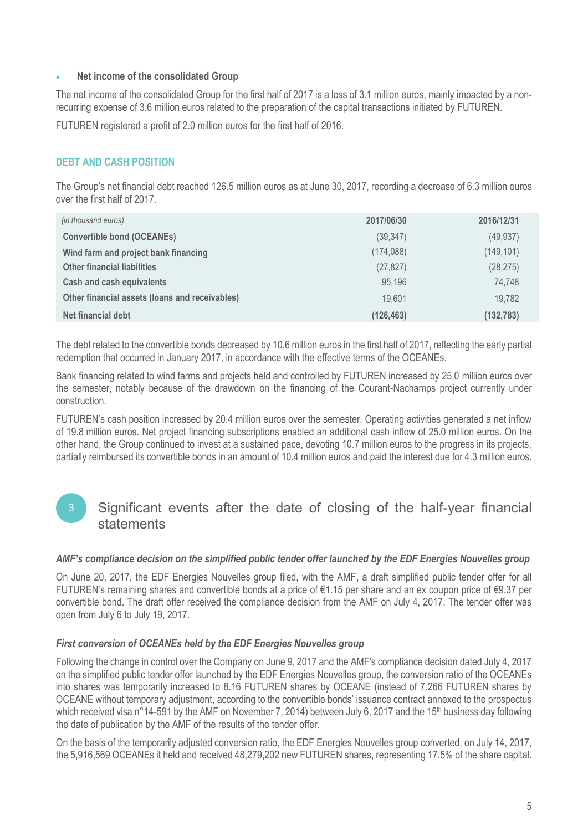#### • **Net income of the consolidated Group**

The net income of the consolidated Group for the first half of 2017 is a loss of 3.1 million euros, mainly impacted by a nonrecurring expense of 3.6 million euros related to the preparation of the capital transactions initiated by FUTUREN.

FUTUREN registered a profit of 2.0 million euros for the first half of 2016.

#### **DEBT AND CASH POSITION**

The Group's net financial debt reached 126.5 million euros as at June 30, 2017, recording a decrease of 6.3 million euros over the first half of 2017.

| (in thousand euros)                            | 2017/06/30 | 2016/12/31 |
|------------------------------------------------|------------|------------|
| <b>Convertible bond (OCEANEs)</b>              | (39, 347)  | (49, 937)  |
| Wind farm and project bank financing           | (174, 088) | (149, 101) |
| <b>Other financial liabilities</b>             | (27, 827)  | (28, 275)  |
| <b>Cash and cash equivalents</b>               | 95,196     | 74,748     |
| Other financial assets (loans and receivables) | 19.601     | 19,782     |
| Net financial debt                             | (126, 463) | (132, 783) |

The debt related to the convertible bonds decreased by 10.6 million euros in the first half of 2017, reflecting the early partial redemption that occurred in January 2017, in accordance with the effective terms of the OCEANEs.

Bank financing related to wind farms and projects held and controlled by FUTUREN increased by 25.0 million euros over the semester, notably because of the drawdown on the financing of the Courant-Nachamps project currently under construction.

FUTUREN's cash position increased by 20.4 million euros over the semester. Operating activities generated a net inflow of 19.8 million euros. Net project financing subscriptions enabled an additional cash inflow of 25.0 million euros. On the other hand, the Group continued to invest at a sustained pace, devoting 10.7 million euros to the progress in its projects, partially reimbursed its convertible bonds in an amount of 10.4 million euros and paid the interest due for 4.3 million euros.

### Significant events after the date of closing of the half-year financial statements

#### *AMF's compliance decision on the simplified public tender offer launched by the EDF Energies Nouvelles group*

On June 20, 2017, the EDF Energies Nouvelles group filed, with the AMF, a draft simplified public tender offer for all FUTUREN's remaining shares and convertible bonds at a price of €1.15 per share and an ex coupon price of €9.37 per convertible bond. The draft offer received the compliance decision from the AMF on July 4, 2017. The tender offer was open from July 6 to July 19, 2017.

#### *First conversion of OCEANEs held by the EDF Energies Nouvelles group*

Following the change in control over the Company on June 9, 2017 and the AMF's compliance decision dated July 4, 2017 on the simplified public tender offer launched by the EDF Energies Nouvelles group, the conversion ratio of the OCEANEs into shares was temporarily increased to 8.16 FUTUREN shares by OCEANE (instead of 7.266 FUTUREN shares by OCEANE without temporary adjustment, according to the convertible bonds' issuance contract annexed to the prospectus which received visa n°14-591 by the AMF on November 7, 2014) between July 6, 2017 and the 15<sup>th</sup> business day following the date of publication by the AMF of the results of the tender offer.

On the basis of the temporarily adjusted conversion ratio, the EDF Energies Nouvelles group converted, on July 14, 2017, the 5,916,569 OCEANEs it held and received 48,279,202 new FUTUREN shares, representing 17.5% of the share capital.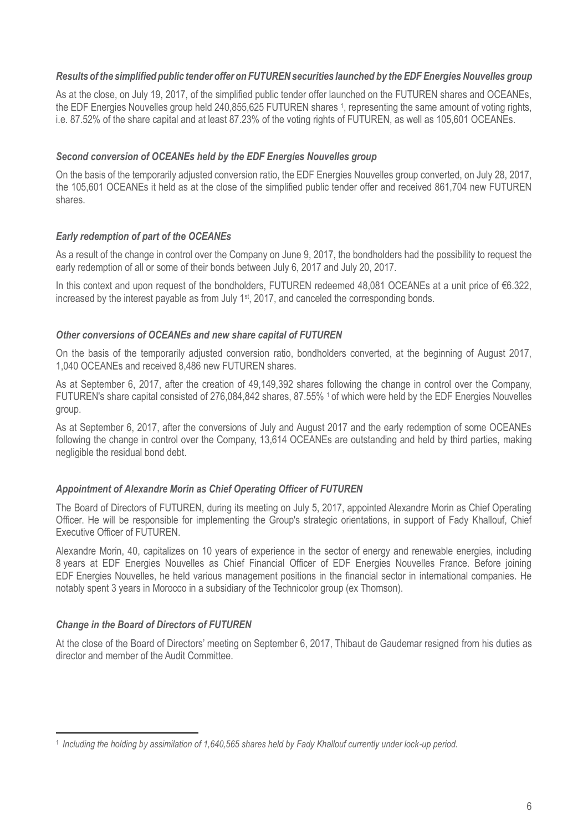#### *Results of the simplified public tender offer on FUTURENsecurities launched by the EDF Energies Nouvelles group*

As at the close, on July 19, 2017, of the simplified public tender offer launched on the FUTUREN shares and OCEANEs, the EDF Energies Nouvelles group held 240,855,625 FUTUREN shares <sup>1</sup>, representing the same amount of voting rights, i.e. 87.52% of the share capital and at least 87.23% of the voting rights of FUTUREN, as well as 105,601 OCEANEs.

#### *Second conversion of OCEANEs held by the EDF Energies Nouvelles group*

On the basis of the temporarily adjusted conversion ratio, the EDF Energies Nouvelles group converted, on July 28, 2017, the 105,601 OCEANEs it held as at the close of the simplified public tender offer and received 861,704 new FUTUREN shares.

#### *Early redemption of part of the OCEANEs*

As a result of the change in control over the Company on June 9, 2017, the bondholders had the possibility to request the early redemption of all or some of their bonds between July 6, 2017 and July 20, 2017.

In this context and upon request of the bondholders, FUTUREN redeemed 48,081 OCEANEs at a unit price of €6.322, increased by the interest payable as from July  $1<sup>st</sup>$ , 2017, and canceled the corresponding bonds.

#### *Other conversions of OCEANEs and new share capital of FUTUREN*

On the basis of the temporarily adjusted conversion ratio, bondholders converted, at the beginning of August 2017, 1,040 OCEANEs and received 8,486 new FUTUREN shares.

As at September 6, 2017, after the creation of 49,149,392 shares following the change in control over the Company, FUTUREN's share capital consisted of 276,084,842 shares, 87.55% 1 of which were held by the EDF Energies Nouvelles group.

As at September 6, 2017, after the conversions of July and August 2017 and the early redemption of some OCEANEs following the change in control over the Company, 13,614 OCEANEs are outstanding and held by third parties, making negligible the residual bond debt.

#### *Appointment of Alexandre Morin as Chief Operating Officer of FUTUREN*

The Board of Directors of FUTUREN, during its meeting on July 5, 2017, appointed Alexandre Morin as Chief Operating Officer. He will be responsible for implementing the Group's strategic orientations, in support of Fady Khallouf, Chief Executive Officer of FUTUREN.

Alexandre Morin, 40, capitalizes on 10 years of experience in the sector of energy and renewable energies, including 8 years at EDF Energies Nouvelles as Chief Financial Officer of EDF Energies Nouvelles France. Before joining EDF Energies Nouvelles, he held various management positions in the financial sector in international companies. He notably spent 3 years in Morocco in a subsidiary of the Technicolor group (ex Thomson).

#### *Change in the Board of Directors of FUTUREN*

**.** 

At the close of the Board of Directors' meeting on September 6, 2017, Thibaut de Gaudemar resigned from his duties as director and member of the Audit Committee.

<sup>1</sup> *Including the holding by assimilation of 1,640,565 shares held by Fady Khallouf currently under lock-up period.*